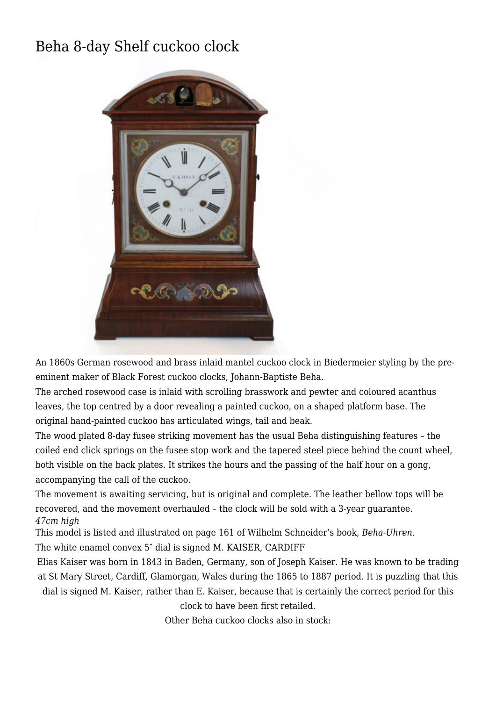## [Beha 8-day Shelf cuckoo clock](http://www.ukclocks.com/products/beha-8-day-shelf-cuckoo-clock/)



An 1860s German rosewood and brass inlaid mantel cuckoo clock in Biedermeier styling by the preeminent maker of Black Forest cuckoo clocks, Johann-Baptiste Beha.

The arched rosewood case is inlaid with scrolling brasswork and pewter and coloured acanthus leaves, the top centred by a door revealing a painted cuckoo, on a shaped platform base. The original hand-painted cuckoo has articulated wings, tail and beak.

The wood plated 8-day fusee striking movement has the usual Beha distinguishing features – the coiled end click springs on the fusee stop work and the tapered steel piece behind the count wheel, both visible on the back plates. It strikes the hours and the passing of the half hour on a gong, accompanying the call of the cuckoo.

The movement is awaiting servicing, but is original and complete. The leather bellow tops will be recovered, and the movement overhauled – the clock will be sold with a 3-year guarantee. *47cm high*

This model is listed and illustrated on page 161 of Wilhelm Schneider's book, *Beha-Uhren.* The white enamel convex 5″ dial is signed M. KAISER, CARDIFF

Elias Kaiser was born in 1843 in Baden, Germany, son of Joseph Kaiser. He was known to be trading at St Mary Street, Cardiff, Glamorgan, Wales during the 1865 to 1887 period. It is puzzling that this dial is signed M. Kaiser, rather than E. Kaiser, because that is certainly the correct period for this clock to have been first retailed.

Other Beha cuckoo clocks also in stock: